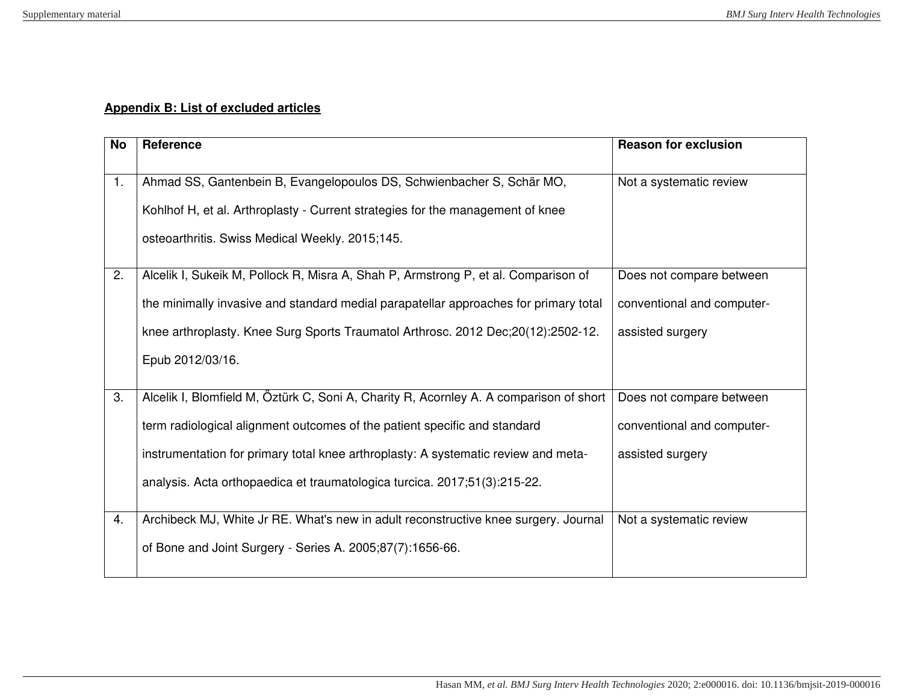## **Appendix B: List of excluded articles**

| <b>No</b> | Reference                                                                                                                                                                                                                                                                                                                              | <b>Reason for exclusion</b>                                                |
|-----------|----------------------------------------------------------------------------------------------------------------------------------------------------------------------------------------------------------------------------------------------------------------------------------------------------------------------------------------|----------------------------------------------------------------------------|
| 1.        | Ahmad SS, Gantenbein B, Evangelopoulos DS, Schwienbacher S, Schär MO,<br>Kohlhof H, et al. Arthroplasty - Current strategies for the management of knee<br>osteoarthritis. Swiss Medical Weekly. 2015;145.                                                                                                                             | Not a systematic review                                                    |
| 2.        | Alcelik I, Sukeik M, Pollock R, Misra A, Shah P, Armstrong P, et al. Comparison of<br>the minimally invasive and standard medial parapatellar approaches for primary total<br>knee arthroplasty. Knee Surg Sports Traumatol Arthrosc. 2012 Dec; 20(12): 2502-12.<br>Epub 2012/03/16.                                                   | Does not compare between<br>conventional and computer-<br>assisted surgery |
| 3.        | Alcelik I, Blomfield M, Öztürk C, Soni A, Charity R, Acornley A. A comparison of short<br>term radiological alignment outcomes of the patient specific and standard<br>instrumentation for primary total knee arthroplasty: A systematic review and meta-<br>analysis. Acta orthopaedica et traumatologica turcica. 2017;51(3):215-22. | Does not compare between<br>conventional and computer-<br>assisted surgery |
| 4.        | Archibeck MJ, White Jr RE. What's new in adult reconstructive knee surgery. Journal<br>of Bone and Joint Surgery - Series A. 2005;87(7):1656-66.                                                                                                                                                                                       | Not a systematic review                                                    |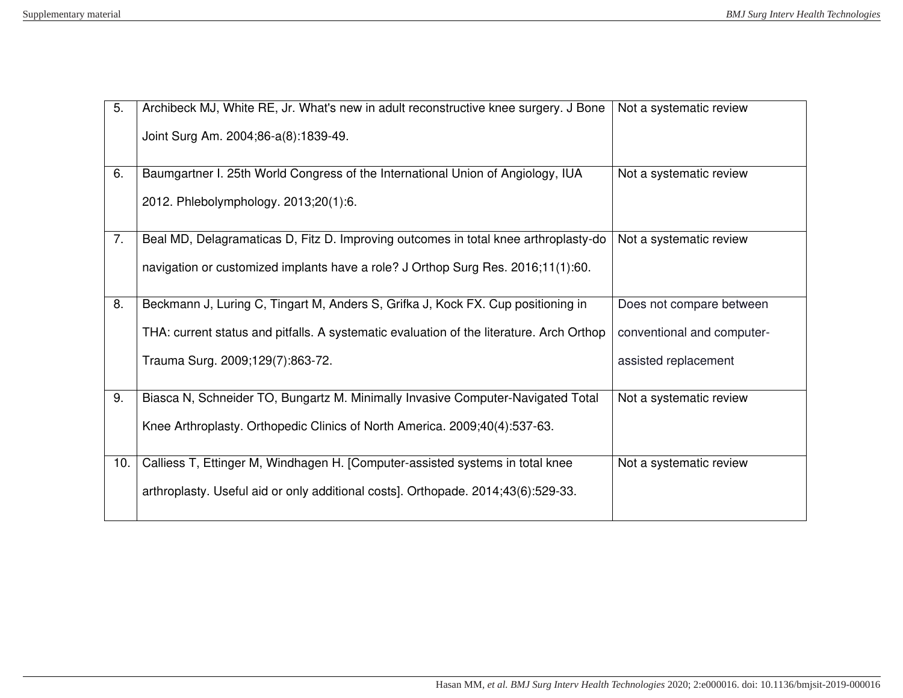| 5.  | Archibeck MJ, White RE, Jr. What's new in adult reconstructive knee surgery. J Bone      | Not a systematic review    |
|-----|------------------------------------------------------------------------------------------|----------------------------|
|     | Joint Surg Am. 2004;86-a(8):1839-49.                                                     |                            |
|     |                                                                                          |                            |
| 6.  | Baumgartner I. 25th World Congress of the International Union of Angiology, IUA          | Not a systematic review    |
|     | 2012. Phlebolymphology. 2013;20(1):6.                                                    |                            |
| 7.  | Beal MD, Delagramaticas D, Fitz D. Improving outcomes in total knee arthroplasty-do      | Not a systematic review    |
|     |                                                                                          |                            |
|     | navigation or customized implants have a role? J Orthop Surg Res. 2016;11(1):60.         |                            |
|     |                                                                                          |                            |
| 8.  | Beckmann J, Luring C, Tingart M, Anders S, Grifka J, Kock FX. Cup positioning in         | Does not compare between   |
|     | THA: current status and pitfalls. A systematic evaluation of the literature. Arch Orthop | conventional and computer- |
|     | Trauma Surg. 2009;129(7):863-72.                                                         | assisted replacement       |
|     |                                                                                          |                            |
| 9.  | Biasca N, Schneider TO, Bungartz M. Minimally Invasive Computer-Navigated Total          | Not a systematic review    |
|     |                                                                                          |                            |
|     | Knee Arthroplasty. Orthopedic Clinics of North America. 2009;40(4):537-63.               |                            |
|     |                                                                                          |                            |
| 10. | Calliess T, Ettinger M, Windhagen H. [Computer-assisted systems in total knee            | Not a systematic review    |
|     |                                                                                          |                            |
|     | arthroplasty. Useful aid or only additional costs]. Orthopade. 2014;43(6):529-33.        |                            |
|     |                                                                                          |                            |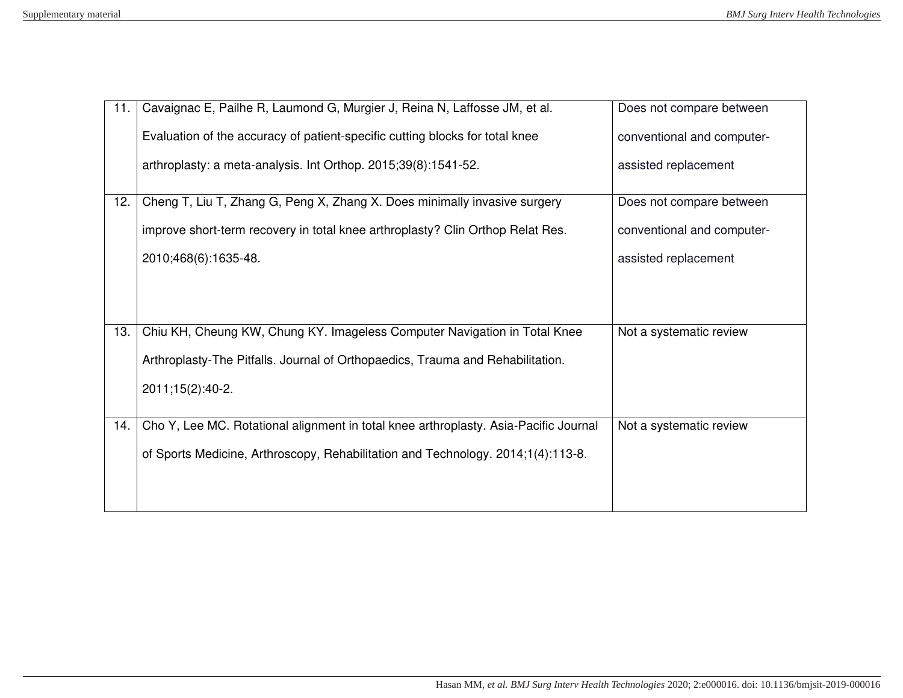| 11. | Cavaignac E, Pailhe R, Laumond G, Murgier J, Reina N, Laffosse JM, et al.            | Does not compare between   |
|-----|--------------------------------------------------------------------------------------|----------------------------|
|     | Evaluation of the accuracy of patient-specific cutting blocks for total knee         | conventional and computer- |
|     | arthroplasty: a meta-analysis. Int Orthop. 2015;39(8):1541-52.                       | assisted replacement       |
| 12. | Cheng T, Liu T, Zhang G, Peng X, Zhang X. Does minimally invasive surgery            | Does not compare between   |
|     | improve short-term recovery in total knee arthroplasty? Clin Orthop Relat Res.       | conventional and computer- |
|     | 2010;468(6):1635-48.                                                                 | assisted replacement       |
|     |                                                                                      |                            |
|     |                                                                                      |                            |
| 13. | Chiu KH, Cheung KW, Chung KY. Imageless Computer Navigation in Total Knee            | Not a systematic review    |
|     | Arthroplasty-The Pitfalls. Journal of Orthopaedics, Trauma and Rehabilitation.       |                            |
|     | 2011;15(2):40-2.                                                                     |                            |
|     |                                                                                      |                            |
| 14. | Cho Y, Lee MC. Rotational alignment in total knee arthroplasty. Asia-Pacific Journal | Not a systematic review    |
|     | of Sports Medicine, Arthroscopy, Rehabilitation and Technology. 2014;1(4):113-8.     |                            |
|     |                                                                                      |                            |
|     |                                                                                      |                            |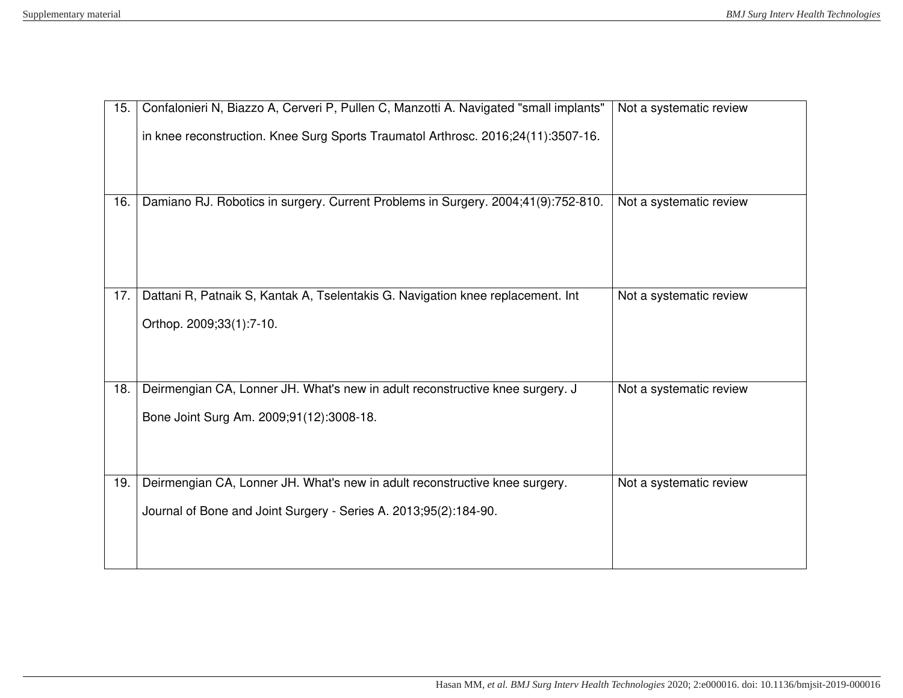| 15. | Confalonieri N, Biazzo A, Cerveri P, Pullen C, Manzotti A. Navigated "small implants"                                     | Not a systematic review |
|-----|---------------------------------------------------------------------------------------------------------------------------|-------------------------|
|     | in knee reconstruction. Knee Surg Sports Traumatol Arthrosc. 2016;24(11):3507-16.                                         |                         |
|     |                                                                                                                           |                         |
| 16. | Damiano RJ. Robotics in surgery. Current Problems in Surgery. 2004;41(9):752-810.                                         | Not a systematic review |
| 17. | Dattani R, Patnaik S, Kantak A, Tselentakis G. Navigation knee replacement. Int                                           | Not a systematic review |
|     | Orthop. 2009;33(1):7-10.                                                                                                  |                         |
|     |                                                                                                                           |                         |
| 18. | Deirmengian CA, Lonner JH. What's new in adult reconstructive knee surgery. J<br>Bone Joint Surg Am. 2009;91(12):3008-18. | Not a systematic review |
|     |                                                                                                                           |                         |
| 19. | Deirmengian CA, Lonner JH. What's new in adult reconstructive knee surgery.                                               | Not a systematic review |
|     | Journal of Bone and Joint Surgery - Series A. 2013;95(2):184-90.                                                          |                         |
|     |                                                                                                                           |                         |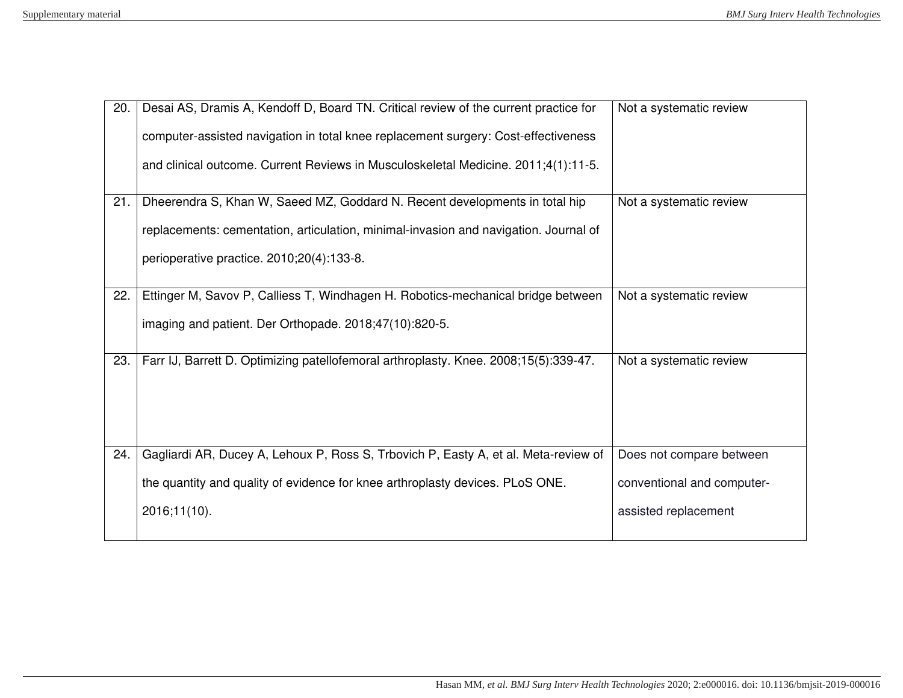| 20. | Desai AS, Dramis A, Kendoff D, Board TN. Critical review of the current practice for | Not a systematic review    |
|-----|--------------------------------------------------------------------------------------|----------------------------|
|     | computer-assisted navigation in total knee replacement surgery: Cost-effectiveness   |                            |
|     | and clinical outcome. Current Reviews in Musculoskeletal Medicine. 2011;4(1):11-5.   |                            |
|     |                                                                                      |                            |
| 21. | Dheerendra S, Khan W, Saeed MZ, Goddard N. Recent developments in total hip          | Not a systematic review    |
|     | replacements: cementation, articulation, minimal-invasion and navigation. Journal of |                            |
|     | perioperative practice. 2010;20(4):133-8.                                            |                            |
|     |                                                                                      |                            |
| 22. | Ettinger M, Savov P, Calliess T, Windhagen H. Robotics-mechanical bridge between     | Not a systematic review    |
|     | imaging and patient. Der Orthopade. 2018;47(10):820-5.                               |                            |
|     |                                                                                      |                            |
| 23. | Farr IJ, Barrett D. Optimizing patellofemoral arthroplasty. Knee. 2008;15(5):339-47. | Not a systematic review    |
|     |                                                                                      |                            |
|     |                                                                                      |                            |
|     |                                                                                      |                            |
| 24. | Gagliardi AR, Ducey A, Lehoux P, Ross S, Trbovich P, Easty A, et al. Meta-review of  | Does not compare between   |
|     | the quantity and quality of evidence for knee arthroplasty devices. PLoS ONE.        | conventional and computer- |
|     | 2016;11(10).                                                                         | assisted replacement       |
|     |                                                                                      |                            |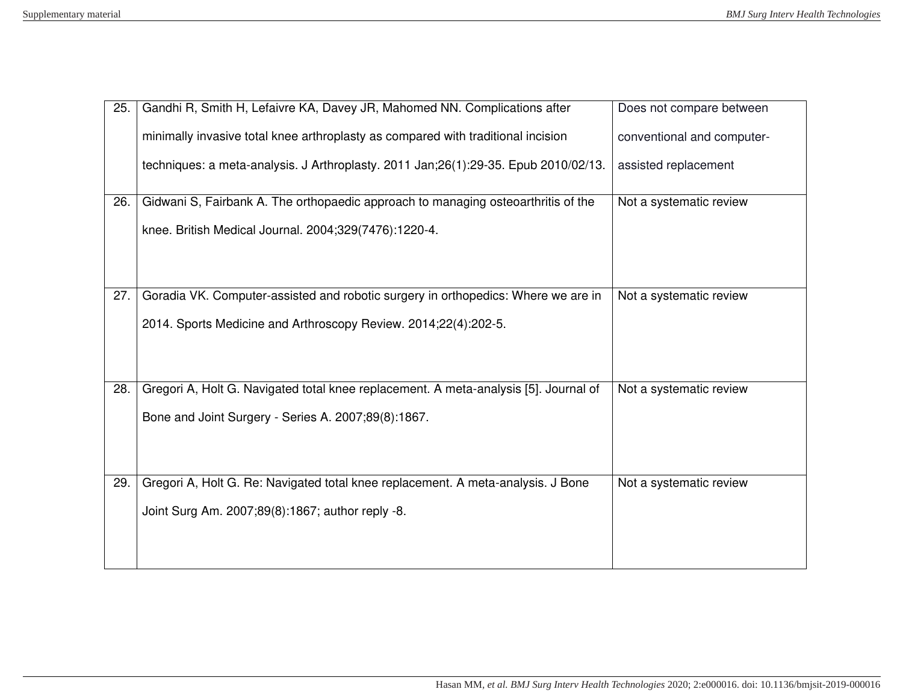| 25. | Gandhi R, Smith H, Lefaivre KA, Davey JR, Mahomed NN. Complications after            | Does not compare between   |
|-----|--------------------------------------------------------------------------------------|----------------------------|
|     | minimally invasive total knee arthroplasty as compared with traditional incision     | conventional and computer- |
|     | techniques: a meta-analysis. J Arthroplasty. 2011 Jan;26(1):29-35. Epub 2010/02/13.  | assisted replacement       |
| 26. | Gidwani S, Fairbank A. The orthopaedic approach to managing osteoarthritis of the    | Not a systematic review    |
|     | knee. British Medical Journal. 2004;329(7476):1220-4.                                |                            |
|     |                                                                                      |                            |
|     |                                                                                      |                            |
| 27. | Goradia VK. Computer-assisted and robotic surgery in orthopedics: Where we are in    | Not a systematic review    |
|     | 2014. Sports Medicine and Arthroscopy Review. 2014;22(4):202-5.                      |                            |
|     |                                                                                      |                            |
|     |                                                                                      |                            |
| 28. | Gregori A, Holt G. Navigated total knee replacement. A meta-analysis [5]. Journal of | Not a systematic review    |
|     | Bone and Joint Surgery - Series A. 2007;89(8):1867.                                  |                            |
|     |                                                                                      |                            |
|     |                                                                                      |                            |
| 29. | Gregori A, Holt G. Re: Navigated total knee replacement. A meta-analysis. J Bone     | Not a systematic review    |
|     | Joint Surg Am. 2007;89(8):1867; author reply -8.                                     |                            |
|     |                                                                                      |                            |
|     |                                                                                      |                            |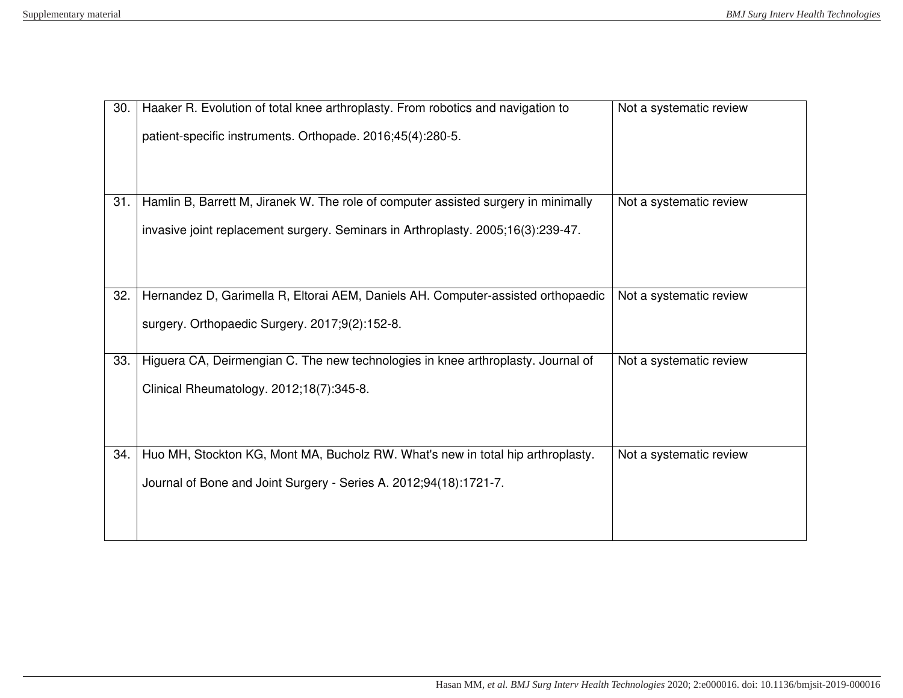| 30. | Haaker R. Evolution of total knee arthroplasty. From robotics and navigation to    | Not a systematic review |
|-----|------------------------------------------------------------------------------------|-------------------------|
|     | patient-specific instruments. Orthopade. 2016;45(4):280-5.                         |                         |
|     |                                                                                    |                         |
|     |                                                                                    |                         |
| 31. | Hamlin B, Barrett M, Jiranek W. The role of computer assisted surgery in minimally | Not a systematic review |
|     | invasive joint replacement surgery. Seminars in Arthroplasty. 2005;16(3):239-47.   |                         |
|     |                                                                                    |                         |
|     |                                                                                    |                         |
| 32. | Hernandez D, Garimella R, Eltorai AEM, Daniels AH. Computer-assisted orthopaedic   | Not a systematic review |
|     | surgery. Orthopaedic Surgery. 2017;9(2):152-8.                                     |                         |
|     |                                                                                    |                         |
| 33. | Higuera CA, Deirmengian C. The new technologies in knee arthroplasty. Journal of   | Not a systematic review |
|     | Clinical Rheumatology. 2012;18(7):345-8.                                           |                         |
|     |                                                                                    |                         |
|     |                                                                                    |                         |
| 34. | Huo MH, Stockton KG, Mont MA, Bucholz RW. What's new in total hip arthroplasty.    | Not a systematic review |
|     | Journal of Bone and Joint Surgery - Series A. 2012;94(18):1721-7.                  |                         |
|     |                                                                                    |                         |
|     |                                                                                    |                         |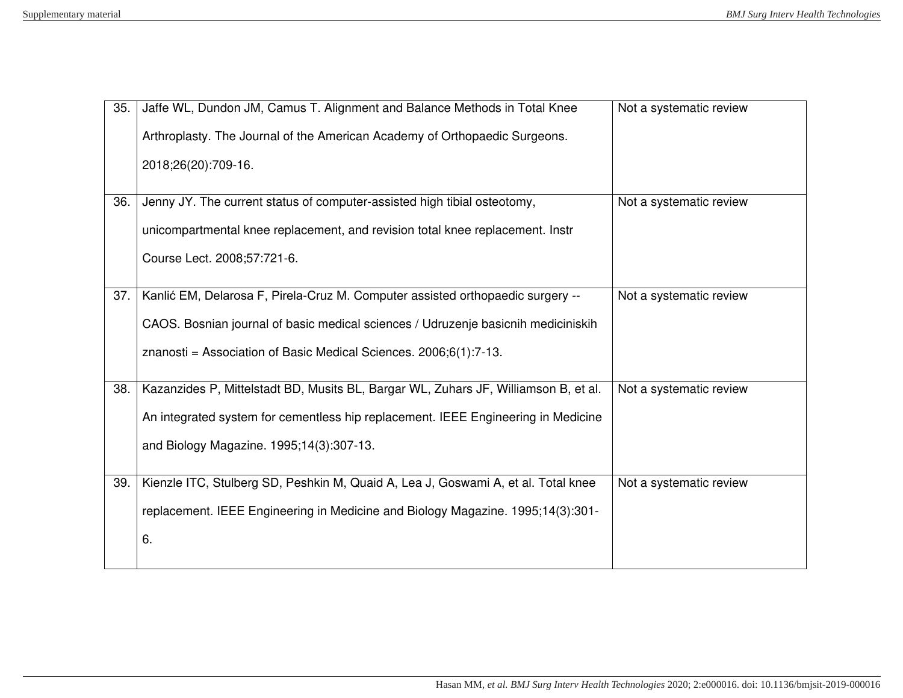| 35. | Jaffe WL, Dundon JM, Camus T. Alignment and Balance Methods in Total Knee           | Not a systematic review |
|-----|-------------------------------------------------------------------------------------|-------------------------|
|     | Arthroplasty. The Journal of the American Academy of Orthopaedic Surgeons.          |                         |
|     | 2018;26(20):709-16.                                                                 |                         |
|     |                                                                                     |                         |
| 36. | Jenny JY. The current status of computer-assisted high tibial osteotomy,            | Not a systematic review |
|     | unicompartmental knee replacement, and revision total knee replacement. Instr       |                         |
|     | Course Lect. 2008;57:721-6.                                                         |                         |
|     |                                                                                     |                         |
| 37. | Kanlić EM, Delarosa F, Pirela-Cruz M. Computer assisted orthopaedic surgery --      | Not a systematic review |
|     | CAOS. Bosnian journal of basic medical sciences / Udruzenje basicnih mediciniskih   |                         |
|     | znanosti = Association of Basic Medical Sciences. $2006;6(1)$ :7-13.                |                         |
|     |                                                                                     |                         |
| 38. | Kazanzides P, Mittelstadt BD, Musits BL, Bargar WL, Zuhars JF, Williamson B, et al. | Not a systematic review |
|     | An integrated system for cementless hip replacement. IEEE Engineering in Medicine   |                         |
|     | and Biology Magazine. 1995;14(3):307-13.                                            |                         |
|     |                                                                                     |                         |
| 39. | Kienzle ITC, Stulberg SD, Peshkin M, Quaid A, Lea J, Goswami A, et al. Total knee   | Not a systematic review |
|     | replacement. IEEE Engineering in Medicine and Biology Magazine. 1995;14(3):301-     |                         |
|     | 6.                                                                                  |                         |
|     |                                                                                     |                         |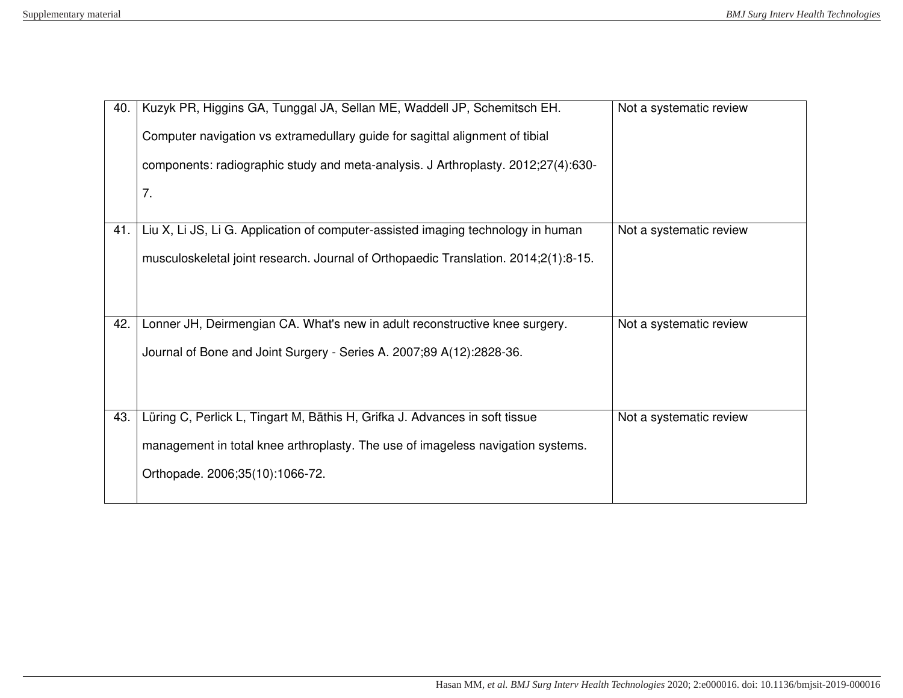| 40. | Kuzyk PR, Higgins GA, Tunggal JA, Sellan ME, Waddell JP, Schemitsch EH.             | Not a systematic review |
|-----|-------------------------------------------------------------------------------------|-------------------------|
|     | Computer navigation vs extramedullary guide for sagittal alignment of tibial        |                         |
|     | components: radiographic study and meta-analysis. J Arthroplasty. 2012;27(4):630-   |                         |
|     | 7.                                                                                  |                         |
|     |                                                                                     |                         |
| 41. | Liu X, Li JS, Li G. Application of computer-assisted imaging technology in human    | Not a systematic review |
|     | musculoskeletal joint research. Journal of Orthopaedic Translation. 2014;2(1):8-15. |                         |
|     |                                                                                     |                         |
|     |                                                                                     |                         |
| 42. | Lonner JH, Deirmengian CA. What's new in adult reconstructive knee surgery.         | Not a systematic review |
|     | Journal of Bone and Joint Surgery - Series A. 2007;89 A(12):2828-36.                |                         |
|     |                                                                                     |                         |
|     |                                                                                     |                         |
| 43. | Lüring C, Perlick L, Tingart M, Bäthis H, Grifka J. Advances in soft tissue         | Not a systematic review |
|     | management in total knee arthroplasty. The use of imageless navigation systems.     |                         |
|     | Orthopade. 2006;35(10):1066-72.                                                     |                         |
|     |                                                                                     |                         |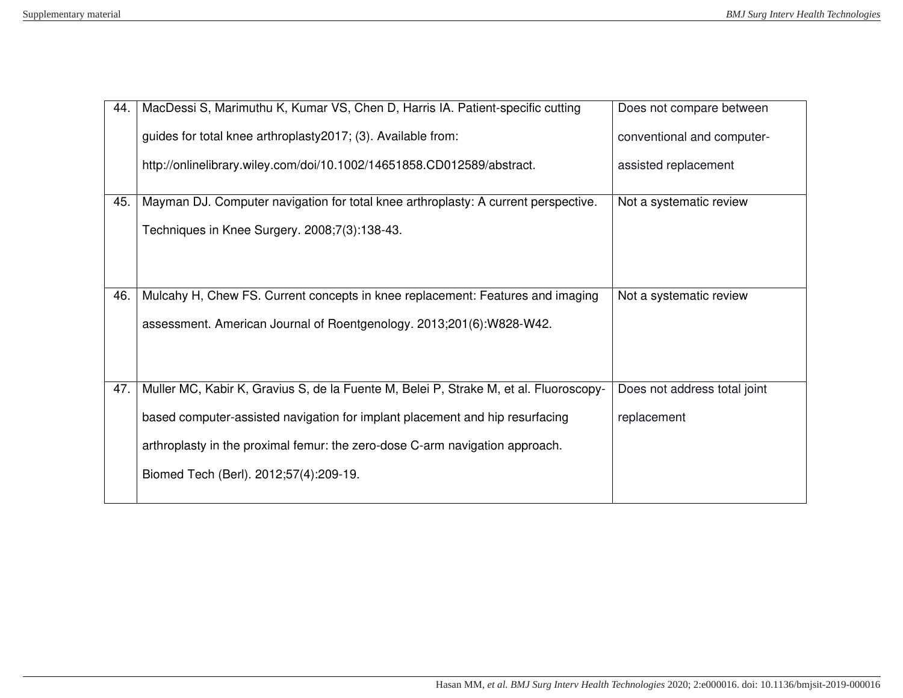| 44. | MacDessi S, Marimuthu K, Kumar VS, Chen D, Harris IA. Patient-specific cutting        | Does not compare between     |
|-----|---------------------------------------------------------------------------------------|------------------------------|
|     | guides for total knee arthroplasty 2017; (3). Available from:                         | conventional and computer-   |
|     | http://onlinelibrary.wiley.com/doi/10.1002/14651858.CD012589/abstract.                | assisted replacement         |
| 45. | Mayman DJ. Computer navigation for total knee arthroplasty: A current perspective.    | Not a systematic review      |
|     | Techniques in Knee Surgery. 2008;7(3):138-43.                                         |                              |
|     |                                                                                       |                              |
| 46. | Mulcahy H, Chew FS. Current concepts in knee replacement: Features and imaging        | Not a systematic review      |
|     | assessment. American Journal of Roentgenology. 2013;201(6):W828-W42.                  |                              |
|     |                                                                                       |                              |
|     |                                                                                       |                              |
| 47. | Muller MC, Kabir K, Gravius S, de la Fuente M, Belei P, Strake M, et al. Fluoroscopy- | Does not address total joint |
|     | based computer-assisted navigation for implant placement and hip resurfacing          | replacement                  |
|     | arthroplasty in the proximal femur: the zero-dose C-arm navigation approach.          |                              |
|     | Biomed Tech (Berl). 2012;57(4):209-19.                                                |                              |
|     |                                                                                       |                              |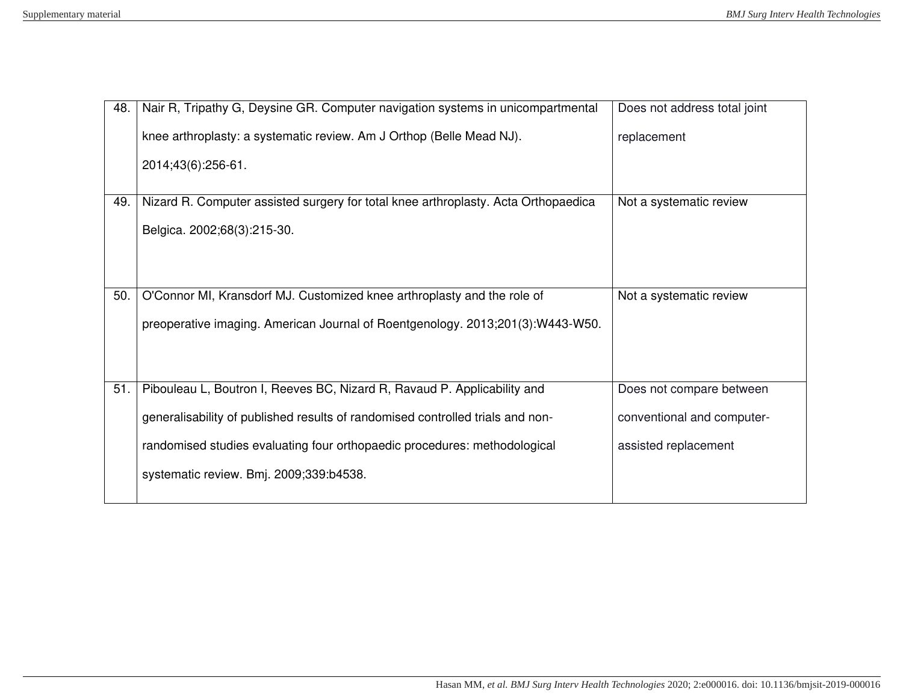| 48. | Nair R, Tripathy G, Deysine GR. Computer navigation systems in unicompartmental    | Does not address total joint |
|-----|------------------------------------------------------------------------------------|------------------------------|
|     | knee arthroplasty: a systematic review. Am J Orthop (Belle Mead NJ).               | replacement                  |
|     | 2014;43(6):256-61.                                                                 |                              |
|     |                                                                                    |                              |
| 49. | Nizard R. Computer assisted surgery for total knee arthroplasty. Acta Orthopaedica | Not a systematic review      |
|     | Belgica. 2002;68(3):215-30.                                                        |                              |
|     |                                                                                    |                              |
|     |                                                                                    |                              |
| 50. | O'Connor MI, Kransdorf MJ. Customized knee arthroplasty and the role of            | Not a systematic review      |
|     | preoperative imaging. American Journal of Roentgenology. 2013;201(3):W443-W50.     |                              |
|     |                                                                                    |                              |
|     |                                                                                    |                              |
| 51. | Pibouleau L, Boutron I, Reeves BC, Nizard R, Ravaud P. Applicability and           | Does not compare between     |
|     | generalisability of published results of randomised controlled trials and non-     | conventional and computer-   |
|     | randomised studies evaluating four orthopaedic procedures: methodological          | assisted replacement         |
|     |                                                                                    |                              |
|     | systematic review. Bmj. 2009;339:b4538.                                            |                              |
|     |                                                                                    |                              |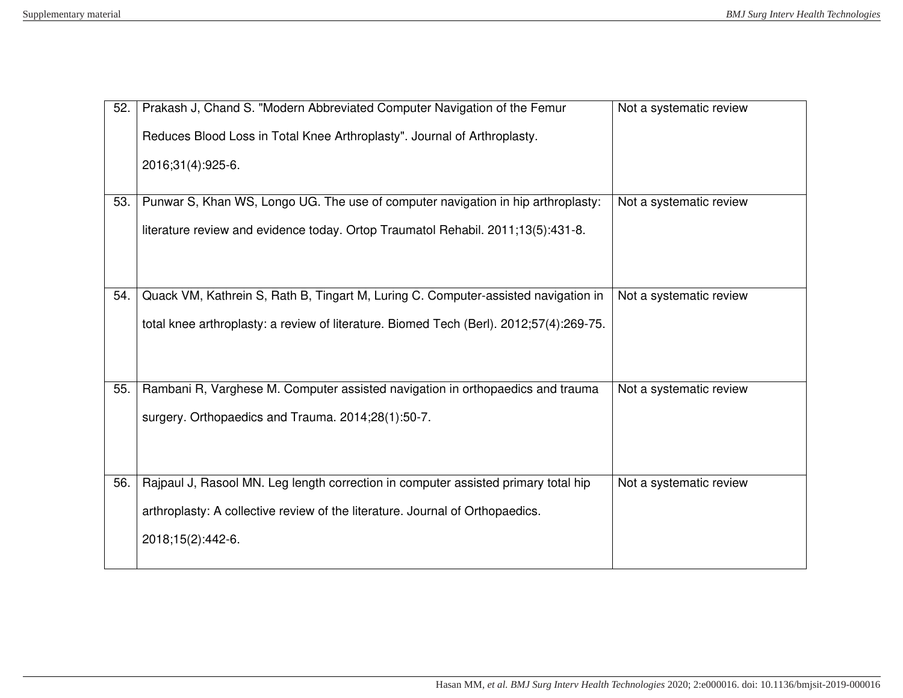| 52. | Prakash J, Chand S. "Modern Abbreviated Computer Navigation of the Femur                | Not a systematic review |
|-----|-----------------------------------------------------------------------------------------|-------------------------|
|     | Reduces Blood Loss in Total Knee Arthroplasty". Journal of Arthroplasty.                |                         |
|     | 2016;31(4):925-6.                                                                       |                         |
|     |                                                                                         |                         |
| 53. | Punwar S, Khan WS, Longo UG. The use of computer navigation in hip arthroplasty:        | Not a systematic review |
|     | literature review and evidence today. Ortop Traumatol Rehabil. 2011;13(5):431-8.        |                         |
|     |                                                                                         |                         |
|     |                                                                                         |                         |
| 54. | Quack VM, Kathrein S, Rath B, Tingart M, Luring C. Computer-assisted navigation in      | Not a systematic review |
|     | total knee arthroplasty: a review of literature. Biomed Tech (Berl). 2012;57(4):269-75. |                         |
|     |                                                                                         |                         |
|     |                                                                                         |                         |
| 55. | Rambani R, Varghese M. Computer assisted navigation in orthopaedics and trauma          | Not a systematic review |
|     | surgery. Orthopaedics and Trauma. 2014;28(1):50-7.                                      |                         |
|     |                                                                                         |                         |
|     |                                                                                         |                         |
| 56. | Rajpaul J, Rasool MN. Leg length correction in computer assisted primary total hip      | Not a systematic review |
|     | arthroplasty: A collective review of the literature. Journal of Orthopaedics.           |                         |
|     | 2018;15(2):442-6.                                                                       |                         |
|     |                                                                                         |                         |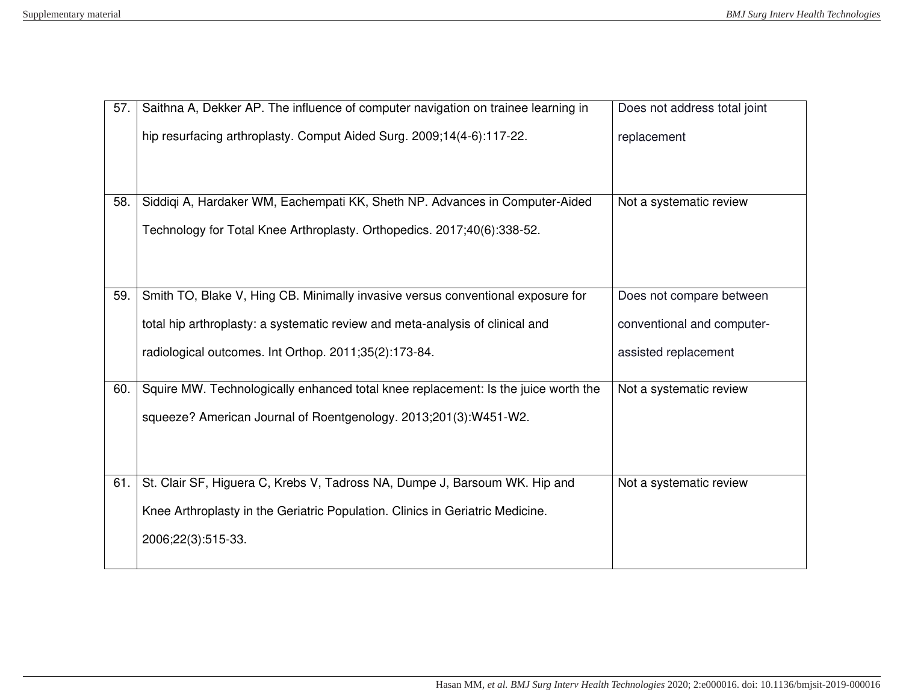| 57. | Saithna A, Dekker AP. The influence of computer navigation on trainee learning in  | Does not address total joint |
|-----|------------------------------------------------------------------------------------|------------------------------|
|     | hip resurfacing arthroplasty. Comput Aided Surg. 2009;14(4-6):117-22.              | replacement                  |
|     |                                                                                    |                              |
|     |                                                                                    |                              |
| 58. | Siddiqi A, Hardaker WM, Eachempati KK, Sheth NP. Advances in Computer-Aided        | Not a systematic review      |
|     | Technology for Total Knee Arthroplasty. Orthopedics. 2017;40(6):338-52.            |                              |
|     |                                                                                    |                              |
|     |                                                                                    |                              |
| 59. | Smith TO, Blake V, Hing CB. Minimally invasive versus conventional exposure for    | Does not compare between     |
|     | total hip arthroplasty: a systematic review and meta-analysis of clinical and      | conventional and computer-   |
|     | radiological outcomes. Int Orthop. 2011;35(2):173-84.                              | assisted replacement         |
|     |                                                                                    |                              |
| 60. | Squire MW. Technologically enhanced total knee replacement: Is the juice worth the | Not a systematic review      |
|     | squeeze? American Journal of Roentgenology. 2013;201(3):W451-W2.                   |                              |
|     |                                                                                    |                              |
|     |                                                                                    |                              |
| 61. | St. Clair SF, Higuera C, Krebs V, Tadross NA, Dumpe J, Barsoum WK. Hip and         | Not a systematic review      |
|     | Knee Arthroplasty in the Geriatric Population. Clinics in Geriatric Medicine.      |                              |
|     | 2006;22(3):515-33.                                                                 |                              |
|     |                                                                                    |                              |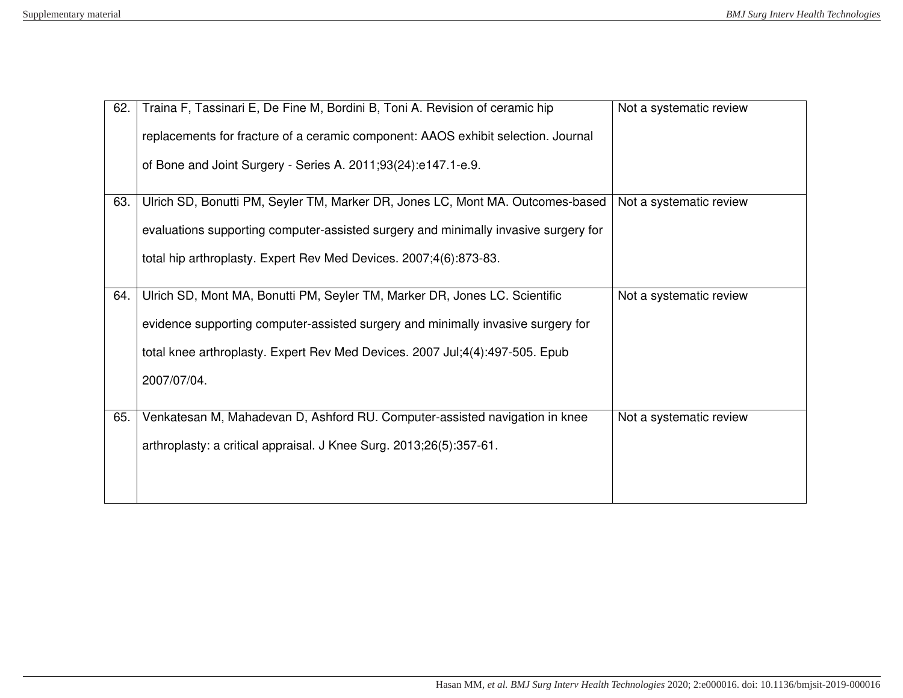| 62. | Traina F, Tassinari E, De Fine M, Bordini B, Toni A. Revision of ceramic hip        | Not a systematic review |
|-----|-------------------------------------------------------------------------------------|-------------------------|
|     | replacements for fracture of a ceramic component: AAOS exhibit selection. Journal   |                         |
|     | of Bone and Joint Surgery - Series A. 2011;93(24):e147.1-e.9.                       |                         |
|     |                                                                                     |                         |
| 63. | Ulrich SD, Bonutti PM, Seyler TM, Marker DR, Jones LC, Mont MA. Outcomes-based      | Not a systematic review |
|     | evaluations supporting computer-assisted surgery and minimally invasive surgery for |                         |
|     | total hip arthroplasty. Expert Rev Med Devices. 2007;4(6):873-83.                   |                         |
|     |                                                                                     |                         |
| 64. | Ulrich SD, Mont MA, Bonutti PM, Seyler TM, Marker DR, Jones LC. Scientific          | Not a systematic review |
|     | evidence supporting computer-assisted surgery and minimally invasive surgery for    |                         |
|     | total knee arthroplasty. Expert Rev Med Devices. 2007 Jul;4(4):497-505. Epub        |                         |
|     | 2007/07/04.                                                                         |                         |
|     |                                                                                     |                         |
| 65. | Venkatesan M, Mahadevan D, Ashford RU. Computer-assisted navigation in knee         | Not a systematic review |
|     | arthroplasty: a critical appraisal. J Knee Surg. 2013;26(5):357-61.                 |                         |
|     |                                                                                     |                         |
|     |                                                                                     |                         |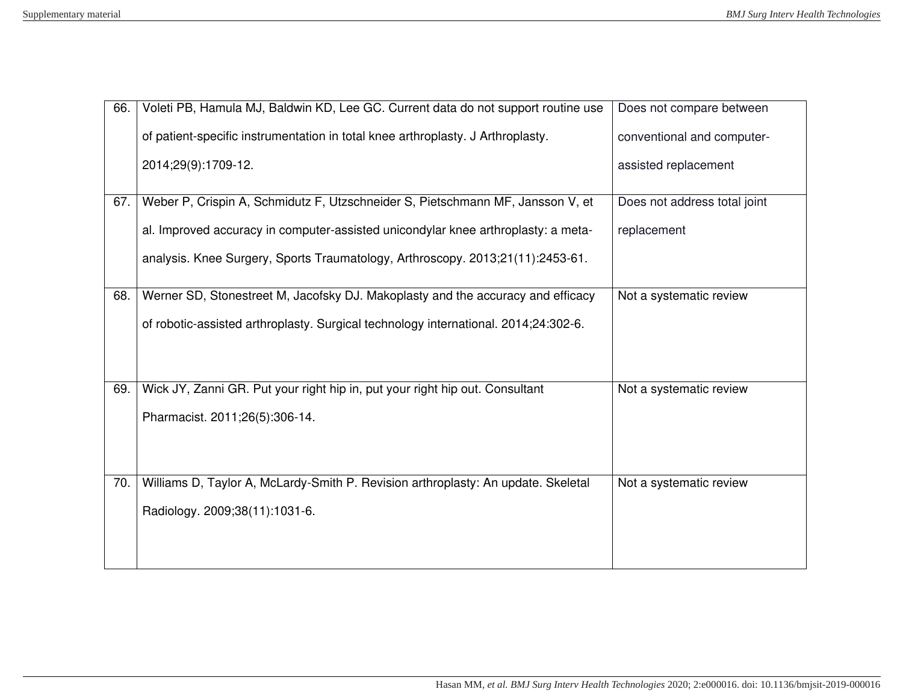| 66. | Voleti PB, Hamula MJ, Baldwin KD, Lee GC. Current data do not support routine use   | Does not compare between     |
|-----|-------------------------------------------------------------------------------------|------------------------------|
|     | of patient-specific instrumentation in total knee arthroplasty. J Arthroplasty.     | conventional and computer-   |
|     | 2014;29(9):1709-12.                                                                 | assisted replacement         |
| 67. | Weber P, Crispin A, Schmidutz F, Utzschneider S, Pietschmann MF, Jansson V, et      | Does not address total joint |
|     | al. Improved accuracy in computer-assisted unicondylar knee arthroplasty: a meta-   | replacement                  |
|     | analysis. Knee Surgery, Sports Traumatology, Arthroscopy. 2013;21(11):2453-61.      |                              |
| 68. | Werner SD, Stonestreet M, Jacofsky DJ. Makoplasty and the accuracy and efficacy     | Not a systematic review      |
|     | of robotic-assisted arthroplasty. Surgical technology international. 2014;24:302-6. |                              |
|     |                                                                                     |                              |
| 69. | Wick JY, Zanni GR. Put your right hip in, put your right hip out. Consultant        | Not a systematic review      |
|     | Pharmacist. 2011;26(5):306-14.                                                      |                              |
|     |                                                                                     |                              |
| 70. | Williams D, Taylor A, McLardy-Smith P. Revision arthroplasty: An update. Skeletal   | Not a systematic review      |
|     | Radiology. 2009;38(11):1031-6.                                                      |                              |
|     |                                                                                     |                              |
|     |                                                                                     |                              |